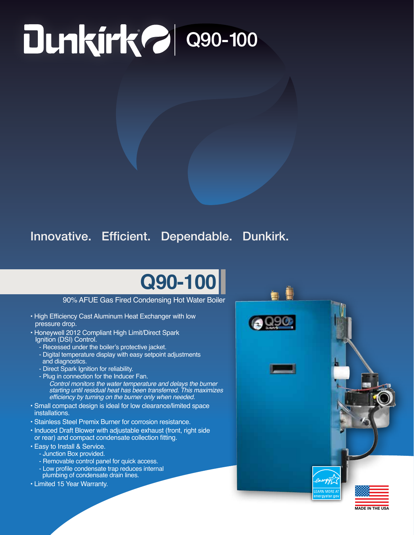# $\sim$  Q90-100

### Innovative. Efficient. Dependable. Dunkirk.

## **Q90-100**

#### 90% AFUE Gas Fired Condensing Hot Water Boiler

- High Efficiency Cast Aluminum Heat Exchanger with low pressure drop.
- Honeywell 2012 Compliant High Limit/Direct Spark Ignition (DSI) Control.
	- Recessed under the boiler's protective jacket.
	- Digital temperature display with easy setpoint adjustments and diagnostics.
	- Direct Spark Ignition for reliability.
	- Plug in connection for the Inducer Fan. *Control monitors the water temperature and delays the burner starting until residual heat has been transferred. This maximizes*  efficiency by turning on the burner only when needed.
- Small compact design is ideal for low clearance/limited space installations.
- Stainless Steel Premix Burner for corrosion resistance.
- Induced Draft Blower with adjustable exhaust (front, right side or rear) and compact condensate collection fitting.
- Easy to Install & Service.
- Junction Box provided.
	- Removable control panel for quick access.
- Low profile condensate trap reduces internal plumbing of condensate drain lines.
- Limited 15 Year Warranty.